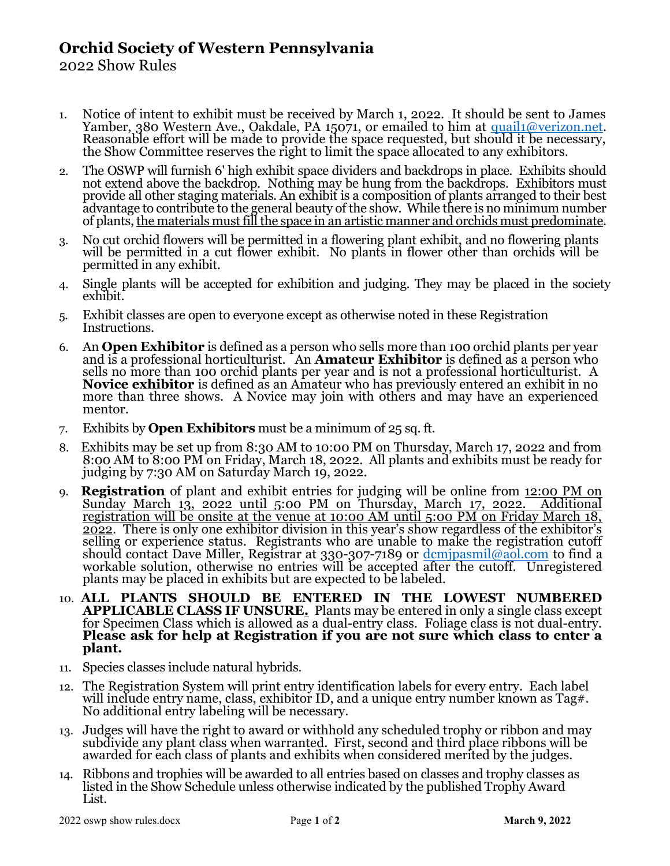## Orchid Society of Western Pennsylvania

2022 Show Rules

- 1. Notice of intent to exhibit must be received by March 1, 2022. It should be sent to James Yamber, 380 Western Ave., Oakdale, PA 15071, or emailed to him at quail1@verizon.net. Reasonable effort will be made to provide the space requested, but should it be necessary, the Show Committee reserves the right to limit the space allocated to any exhibitors.
- 2. The OSWP will furnish 6' high exhibit space dividers and backdrops in place. Exhibits should not extend above the backdrop. Nothing may be hung from the backdrops. Exhibitors must provide all other staging materials. An exhibit is a composition of plants arranged to their best advantage to contribute to the general beauty of the show. While there is no minimum number of plants, the materials must fill the space in an artistic manner and orchids must predominate.
- 3. No cut orchid flowers will be permitted in a flowering plant exhibit, and no flowering plants will be permitted in a cut flower exhibit. No plants in flower other than orchids will be permitted in any exhibit.
- 4. Single plants will be accepted for exhibition and judging. They may be placed in the society exhibit.
- 5. Exhibit classes are open to everyone except as otherwise noted in these Registration Instructions.
- 6. An **Open Exhibitor** is defined as a person who sells more than 100 orchid plants per year and is a professional horticulturist. An **Amateur Exhibitor** is defined as a person who sells no more than 100 orchid plants per year and is not a professional horticulturist. A Novice exhibitor is defined as an Amateur who has previously entered an exhibit in no more than three shows. A Novice may join with others and may have an experienced mentor.
- 7. Exhibits by **Open Exhibitors** must be a minimum of  $25$  sq. ft.
- 8. Exhibits may be set up from 8:30 AM to 10:00 PM on Thursday, March 17, 2022 and from 8:00 AM to 8:00 PM on Friday, March 18, 2022. All plants and exhibits must be ready for judging by 7:30 AM on Saturday March 19, 2022.
- **Registration** of plant and exhibit entries for judging will be online from 12:00 PM on Sunday March 13, 2022 until 5:00 PM on Thursday, March 17, 2022. Additional registration will be onsite at the venue at 10:00 AM until 5:00 PM on Friday March 18, 2022. There is only one exhibitor division in this year's show regardless of the exhibitor's selling or experience status. Registrants who are unable to make the registration cutoff should contact Dave Miller, Registrar at 330-307-7189 or <u>dcmjpasmil@aol.com</u> to find a workable solution, otherwise no entries will be accepted after the cutoff. Unregistered plants may be placed in exhibits but are expected to be labeled.
- 10. ALL PLANTS SHOULD BE ENTERED IN THE LOWEST NUMBERED APPLICABLE CLASS IF UNSURE. Plants may be entered in only a single class except for Specimen Class which is allowed as a dual-entry class. Foliage class is not dual-entry. Please ask for help at Registration if you are not sure which class to enter a plant.
- 11. Species classes include natural hybrids.
- 12. The Registration System will print entry identification labels for every entry. Each label will include entry name, class, exhibitor ID, and a unique entry number known as Tag#. No additional entry labeling will be necessary.
- 13. Judges will have the right to award or withhold any scheduled trophy or ribbon and may subdivide any plant class when warranted. First, second and third place ribbons will be awarded for each class of plants and exhibits when considered merited by the judges.
- 14. Ribbons and trophies will be awarded to all entries based on classes and trophy classes as listed in the Show Schedule unless otherwise indicated by the published Trophy Award List.